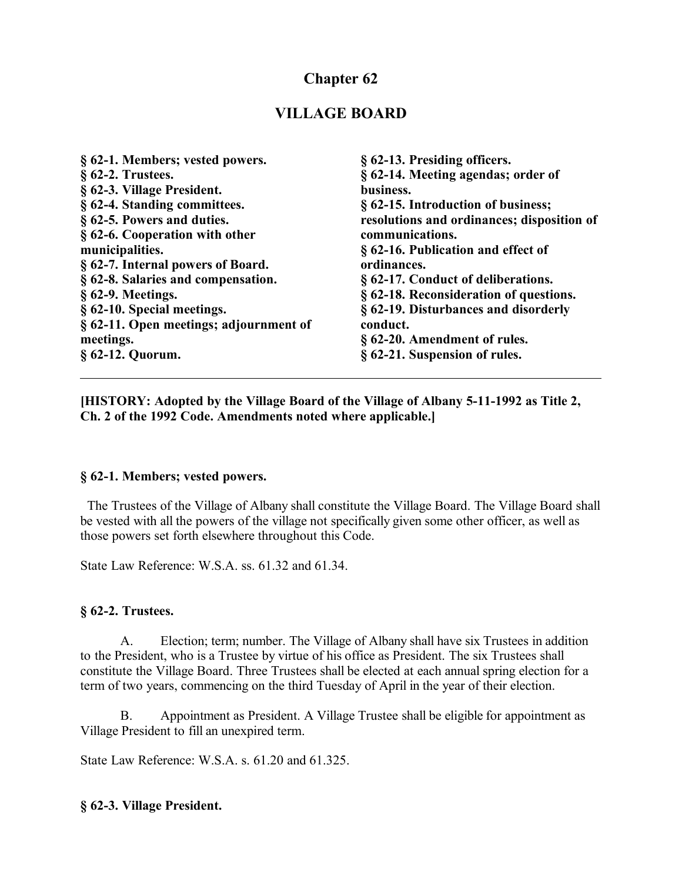# **Chapter 62**

## **VILLAGE BOARD**

| § 62-1. Members; vested powers.        | § 62-13. Presiding officers.               |
|----------------------------------------|--------------------------------------------|
| $§$ 62-2. Trustees.                    | § 62-14. Meeting agendas; order of         |
| § 62-3. Village President.             | business.                                  |
| § 62-4. Standing committees.           | § 62-15. Introduction of business;         |
| § 62-5. Powers and duties.             | resolutions and ordinances; disposition of |
| § 62-6. Cooperation with other         | communications.                            |
| municipalities.                        | § 62-16. Publication and effect of         |
| § 62-7. Internal powers of Board.      | ordinances.                                |
| § 62-8. Salaries and compensation.     | § 62-17. Conduct of deliberations.         |
| $§$ 62-9. Meetings.                    | § 62-18. Reconsideration of questions.     |
| § 62-10. Special meetings.             | § 62-19. Disturbances and disorderly       |
| § 62-11. Open meetings; adjournment of | conduct.                                   |
| meetings.                              | § 62-20. Amendment of rules.               |
| $\S$ 62-12. Quorum.                    | § 62-21. Suspension of rules.              |

**[HISTORY: Adopted by the Village Board of the Village of Albany 5-11-1992 as Title 2, Ch. 2 of the 1992 Code. Amendments noted where applicable.]**

#### **§ 62-1. Members; vested powers.**

 The Trustees of the Village of Albany shall constitute the Village Board. The Village Board shall be vested with all the powers of the village not specifically given some other officer, as well as those powers set forth elsewhere throughout this Code.

State Law Reference: W.S.A. ss. 61.32 and 61.34.

#### **§ 62-2. Trustees.**

A. Election; term; number. The Village of Albany shall have six Trustees in addition to the President, who is a Trustee by virtue of his office as President. The six Trustees shall constitute the Village Board. Three Trustees shall be elected at each annual spring election for a term of two years, commencing on the third Tuesday of April in the year of their election.

B. Appointment as President. A Village Trustee shall be eligible for appointment as Village President to fill an unexpired term.

State Law Reference: W.S.A. s. 61.20 and 61.325.

#### **§ 62-3. Village President.**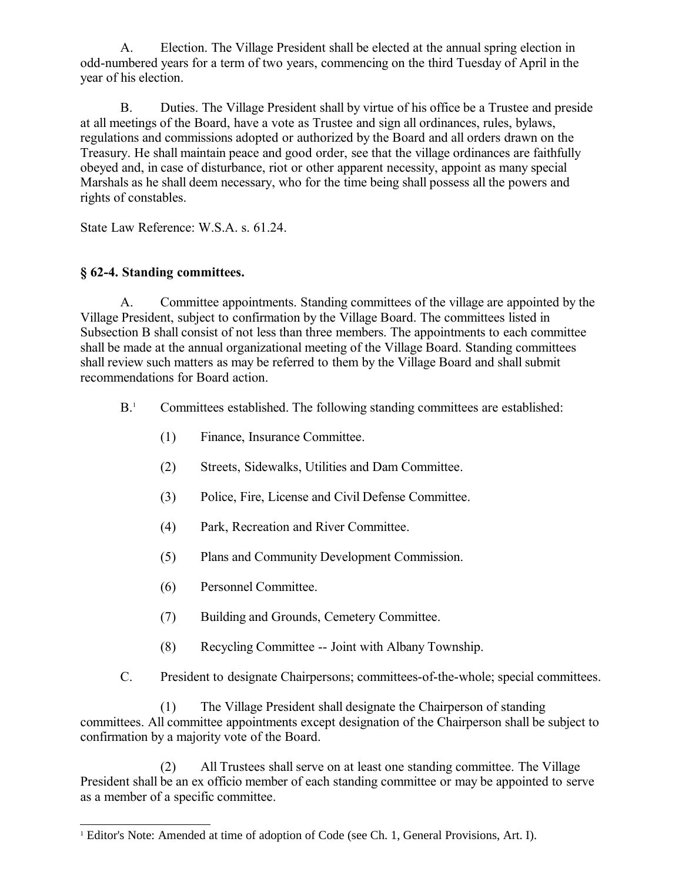A. Election. The Village President shall be elected at the annual spring election in odd-numbered years for a term of two years, commencing on the third Tuesday of April in the year of his election.

B. Duties. The Village President shall by virtue of his office be a Trustee and preside at all meetings of the Board, have a vote as Trustee and sign all ordinances, rules, bylaws, regulations and commissions adopted or authorized by the Board and all orders drawn on the Treasury. He shall maintain peace and good order, see that the village ordinances are faithfully obeyed and, in case of disturbance, riot or other apparent necessity, appoint as many special Marshals as he shall deem necessary, who for the time being shall possess all the powers and rights of constables.

State Law Reference: W.S.A. s. 61.24.

## **§ 62-4. Standing committees.**

A. Committee appointments. Standing committees of the village are appointed by the Village President, subject to confirmation by the Village Board. The committees listed in Subsection B shall consist of not less than three members. The appointments to each committee shall be made at the annual organizational meeting of the Village Board. Standing committees shall review such matters as may be referred to them by the Village Board and shall submit recommendations for Board action.

- B<sup>[1](#page-1-0)</sup> Committees established. The following standing committees are established:
	- (1) Finance, Insurance Committee.
	- (2) Streets, Sidewalks, Utilities and Dam Committee.
	- (3) Police, Fire, License and Civil Defense Committee.
	- (4) Park, Recreation and River Committee.
	- (5) Plans and Community Development Commission.
	- (6) Personnel Committee.
	- (7) Building and Grounds, Cemetery Committee.
	- (8) Recycling Committee -- Joint with Albany Township.
- C. President to designate Chairpersons; committees-of-the-whole; special committees.

(1) The Village President shall designate the Chairperson of standing committees. All committee appointments except designation of the Chairperson shall be subject to confirmation by a majority vote of the Board.

(2) All Trustees shall serve on at least one standing committee. The Village President shall be an ex officio member of each standing committee or may be appointed to serve as a member of a specific committee.

<span id="page-1-0"></span><sup>1</sup> Editor's Note: Amended at time of adoption of Code (see Ch. 1, General Provisions, Art. I).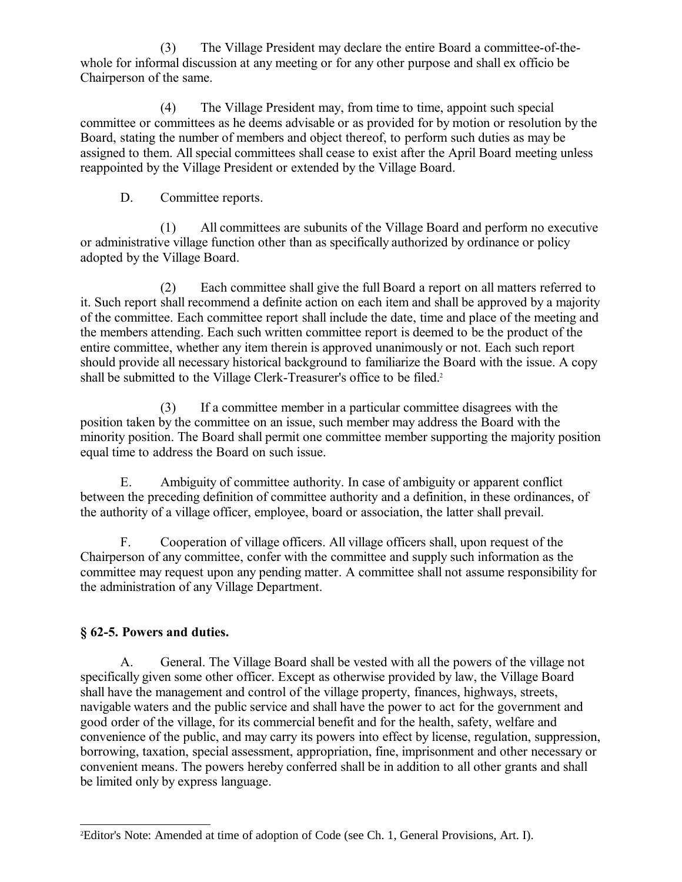(3) The Village President may declare the entire Board a committee-of-thewhole for informal discussion at any meeting or for any other purpose and shall ex officio be Chairperson of the same.

(4) The Village President may, from time to time, appoint such special committee or committees as he deems advisable or as provided for by motion or resolution by the Board, stating the number of members and object thereof, to perform such duties as may be assigned to them. All special committees shall cease to exist after the April Board meeting unless reappointed by the Village President or extended by the Village Board.

D. Committee reports.

(1) All committees are subunits of the Village Board and perform no executive or administrative village function other than as specifically authorized by ordinance or policy adopted by the Village Board.

(2) Each committee shall give the full Board a report on all matters referred to it. Such report shall recommend a definite action on each item and shall be approved by a majority of the committee. Each committee report shall include the date, time and place of the meeting and the members attending. Each such written committee report is deemed to be the product of the entire committee, whether any item therein is approved unanimously or not. Each such report should provide all necessary historical background to familiarize the Board with the issue. A copy shall be submitted to the Village Clerk-Treasurer's office to be filed.<sup>[2](#page-2-0)</sup>

(3) If a committee member in a particular committee disagrees with the position taken by the committee on an issue, such member may address the Board with the minority position. The Board shall permit one committee member supporting the majority position equal time to address the Board on such issue.

E. Ambiguity of committee authority. In case of ambiguity or apparent conflict between the preceding definition of committee authority and a definition, in these ordinances, of the authority of a village officer, employee, board or association, the latter shall prevail.

F. Cooperation of village officers. All village officers shall, upon request of the Chairperson of any committee, confer with the committee and supply such information as the committee may request upon any pending matter. A committee shall not assume responsibility for the administration of any Village Department.

## **§ 62-5. Powers and duties.**

A. General. The Village Board shall be vested with all the powers of the village not specifically given some other officer. Except as otherwise provided by law, the Village Board shall have the management and control of the village property, finances, highways, streets, navigable waters and the public service and shall have the power to act for the government and good order of the village, for its commercial benefit and for the health, safety, welfare and convenience of the public, and may carry its powers into effect by license, regulation, suppression, borrowing, taxation, special assessment, appropriation, fine, imprisonment and other necessary or convenient means. The powers hereby conferred shall be in addition to all other grants and shall be limited only by express language.

<span id="page-2-0"></span><sup>2</sup>Editor's Note: Amended at time of adoption of Code (see Ch. 1, General Provisions, Art. I).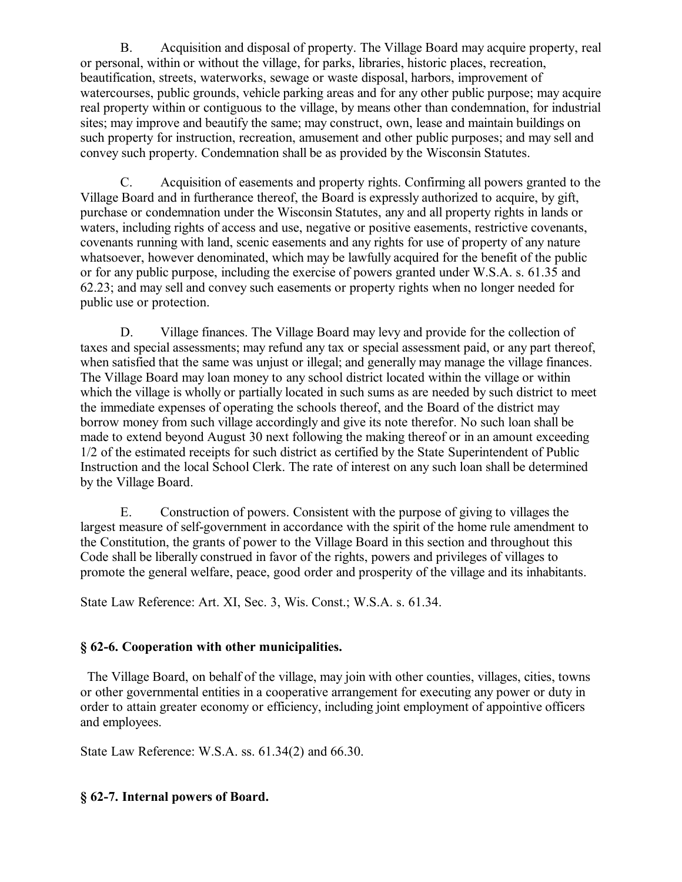B. Acquisition and disposal of property. The Village Board may acquire property, real or personal, within or without the village, for parks, libraries, historic places, recreation, beautification, streets, waterworks, sewage or waste disposal, harbors, improvement of watercourses, public grounds, vehicle parking areas and for any other public purpose; may acquire real property within or contiguous to the village, by means other than condemnation, for industrial sites; may improve and beautify the same; may construct, own, lease and maintain buildings on such property for instruction, recreation, amusement and other public purposes; and may sell and convey such property. Condemnation shall be as provided by the Wisconsin Statutes.

C. Acquisition of easements and property rights. Confirming all powers granted to the Village Board and in furtherance thereof, the Board is expressly authorized to acquire, by gift, purchase or condemnation under the Wisconsin Statutes, any and all property rights in lands or waters, including rights of access and use, negative or positive easements, restrictive covenants, covenants running with land, scenic easements and any rights for use of property of any nature whatsoever, however denominated, which may be lawfully acquired for the benefit of the public or for any public purpose, including the exercise of powers granted under W.S.A. s. 61.35 and 62.23; and may sell and convey such easements or property rights when no longer needed for public use or protection.

D. Village finances. The Village Board may levy and provide for the collection of taxes and special assessments; may refund any tax or special assessment paid, or any part thereof, when satisfied that the same was unjust or illegal; and generally may manage the village finances. The Village Board may loan money to any school district located within the village or within which the village is wholly or partially located in such sums as are needed by such district to meet the immediate expenses of operating the schools thereof, and the Board of the district may borrow money from such village accordingly and give its note therefor. No such loan shall be made to extend beyond August 30 next following the making thereof or in an amount exceeding 1/2 of the estimated receipts for such district as certified by the State Superintendent of Public Instruction and the local School Clerk. The rate of interest on any such loan shall be determined by the Village Board.

E. Construction of powers. Consistent with the purpose of giving to villages the largest measure of self-government in accordance with the spirit of the home rule amendment to the Constitution, the grants of power to the Village Board in this section and throughout this Code shall be liberally construed in favor of the rights, powers and privileges of villages to promote the general welfare, peace, good order and prosperity of the village and its inhabitants.

State Law Reference: Art. XI, Sec. 3, Wis. Const.; W.S.A. s. 61.34.

#### **§ 62-6. Cooperation with other municipalities.**

 The Village Board, on behalf of the village, may join with other counties, villages, cities, towns or other governmental entities in a cooperative arrangement for executing any power or duty in order to attain greater economy or efficiency, including joint employment of appointive officers and employees.

State Law Reference: W.S.A. ss. 61.34(2) and 66.30.

#### **§ 62-7. Internal powers of Board.**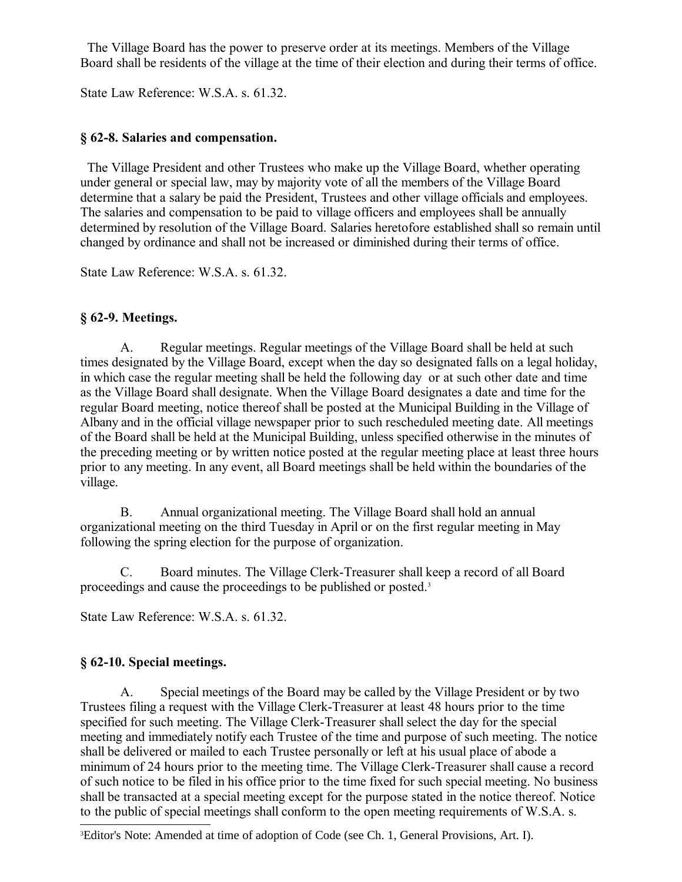The Village Board has the power to preserve order at its meetings. Members of the Village Board shall be residents of the village at the time of their election and during their terms of office.

State Law Reference: W.S.A. s. 61.32.

### **§ 62-8. Salaries and compensation.**

 The Village President and other Trustees who make up the Village Board, whether operating under general or special law, may by majority vote of all the members of the Village Board determine that a salary be paid the President, Trustees and other village officials and employees. The salaries and compensation to be paid to village officers and employees shall be annually determined by resolution of the Village Board. Salaries heretofore established shall so remain until changed by ordinance and shall not be increased or diminished during their terms of office.

State Law Reference: W.S.A. s. 61.32.

## **§ 62-9. Meetings.**

A. Regular meetings. Regular meetings of the Village Board shall be held at such times designated by the Village Board, except when the day so designated falls on a legal holiday, in which case the regular meeting shall be held the following day or at such other date and time as the Village Board shall designate. When the Village Board designates a date and time for the regular Board meeting, notice thereof shall be posted at the Municipal Building in the Village of Albany and in the official village newspaper prior to such rescheduled meeting date. All meetings of the Board shall be held at the Municipal Building, unless specified otherwise in the minutes of the preceding meeting or by written notice posted at the regular meeting place at least three hours prior to any meeting. In any event, all Board meetings shall be held within the boundaries of the village.

B. Annual organizational meeting. The Village Board shall hold an annual organizational meeting on the third Tuesday in April or on the first regular meeting in May following the spring election for the purpose of organization.

C. Board minutes. The Village Clerk-Treasurer shall keep a record of all Board proceedings and cause the proceedings to be published or posted.[3](#page-4-0)

State Law Reference: W.S.A. s. 61.32.

## **§ 62-10. Special meetings.**

A. Special meetings of the Board may be called by the Village President or by two Trustees filing a request with the Village Clerk-Treasurer at least 48 hours prior to the time specified for such meeting. The Village Clerk-Treasurer shall select the day for the special meeting and immediately notify each Trustee of the time and purpose of such meeting. The notice shall be delivered or mailed to each Trustee personally or left at his usual place of abode a minimum of 24 hours prior to the meeting time. The Village Clerk-Treasurer shall cause a record of such notice to be filed in his office prior to the time fixed for such special meeting. No business shall be transacted at a special meeting except for the purpose stated in the notice thereof. Notice to the public of special meetings shall conform to the open meeting requirements of W.S.A. s.

<span id="page-4-0"></span><sup>3</sup>Editor's Note: Amended at time of adoption of Code (see Ch. 1, General Provisions, Art. I).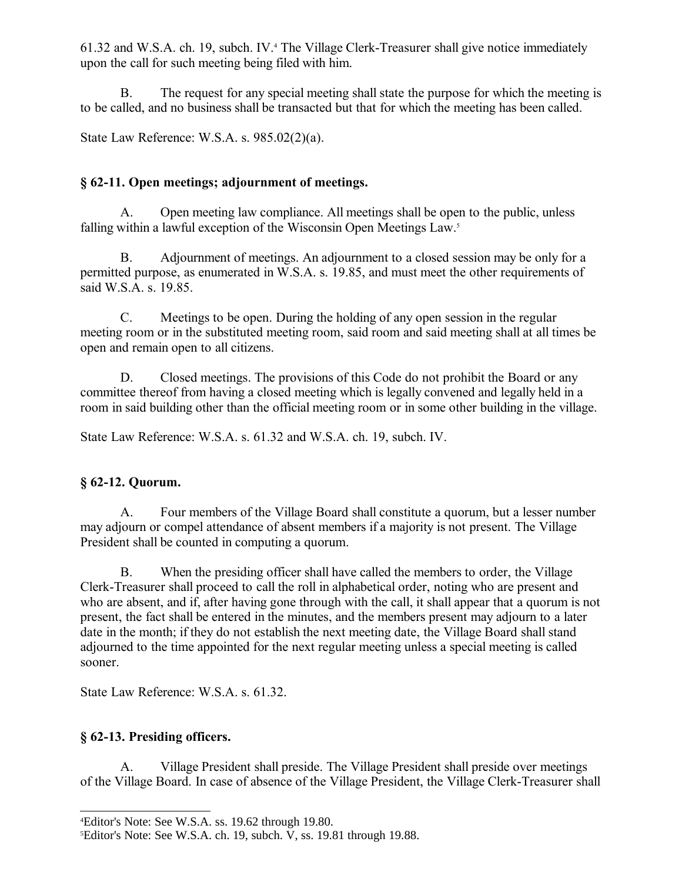61.32 and W.S.A. ch. 19, subch. IV.[4](#page-5-0) The Village Clerk-Treasurer shall give notice immediately upon the call for such meeting being filed with him.

B. The request for any special meeting shall state the purpose for which the meeting is to be called, and no business shall be transacted but that for which the meeting has been called.

State Law Reference: W.S.A. s. 985.02(2)(a).

### **§ 62-11. Open meetings; adjournment of meetings.**

A. Open meeting law compliance. All meetings shall be open to the public, unless falling within a lawful exception of the Wisconsin Open Meetings Law.<sup>[5](#page-5-1)</sup>

B. Adjournment of meetings. An adjournment to a closed session may be only for a permitted purpose, as enumerated in W.S.A. s. 19.85, and must meet the other requirements of said W.S.A. s. 19.85.

C. Meetings to be open. During the holding of any open session in the regular meeting room or in the substituted meeting room, said room and said meeting shall at all times be open and remain open to all citizens.

D. Closed meetings. The provisions of this Code do not prohibit the Board or any committee thereof from having a closed meeting which is legally convened and legally held in a room in said building other than the official meeting room or in some other building in the village.

State Law Reference: W.S.A. s. 61.32 and W.S.A. ch. 19, subch. IV.

## **§ 62-12. Quorum.**

A. Four members of the Village Board shall constitute a quorum, but a lesser number may adjourn or compel attendance of absent members if a majority is not present. The Village President shall be counted in computing a quorum.

B. When the presiding officer shall have called the members to order, the Village Clerk-Treasurer shall proceed to call the roll in alphabetical order, noting who are present and who are absent, and if, after having gone through with the call, it shall appear that a quorum is not present, the fact shall be entered in the minutes, and the members present may adjourn to a later date in the month; if they do not establish the next meeting date, the Village Board shall stand adjourned to the time appointed for the next regular meeting unless a special meeting is called sooner.

State Law Reference: W.S.A. s. 61.32.

## **§ 62-13. Presiding officers.**

A. Village President shall preside. The Village President shall preside over meetings of the Village Board. In case of absence of the Village President, the Village Clerk-Treasurer shall

<span id="page-5-0"></span><sup>4</sup>Editor's Note: See W.S.A. ss. 19.62 through 19.80.

<span id="page-5-1"></span><sup>5</sup>Editor's Note: See W.S.A. ch. 19, subch. V, ss. 19.81 through 19.88.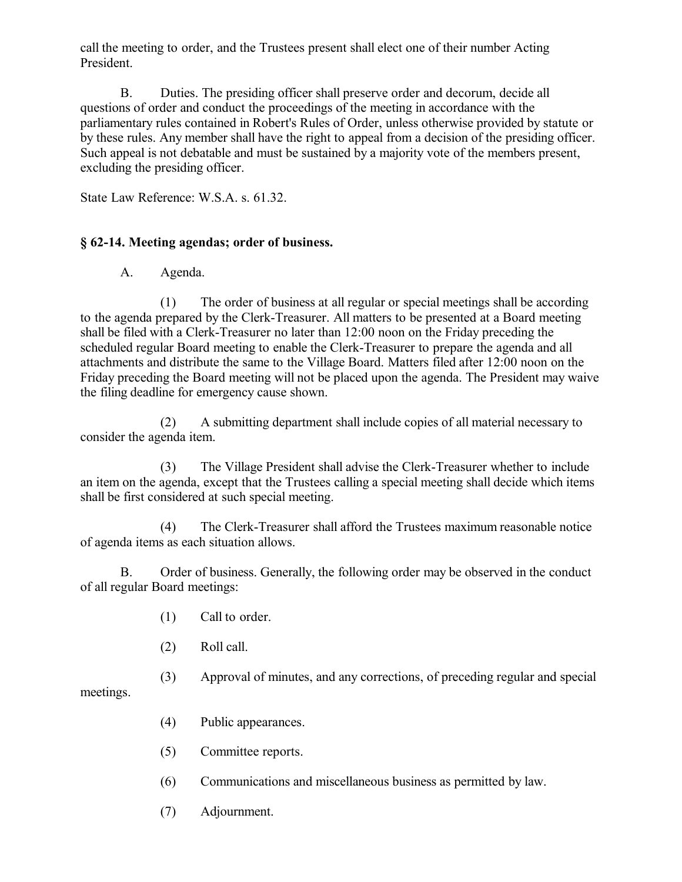call the meeting to order, and the Trustees present shall elect one of their number Acting President.

B. Duties. The presiding officer shall preserve order and decorum, decide all questions of order and conduct the proceedings of the meeting in accordance with the parliamentary rules contained in Robert's Rules of Order, unless otherwise provided by statute or by these rules. Any member shall have the right to appeal from a decision of the presiding officer. Such appeal is not debatable and must be sustained by a majority vote of the members present, excluding the presiding officer.

State Law Reference: W.S.A. s. 61.32.

### **§ 62-14. Meeting agendas; order of business.**

A. Agenda.

(1) The order of business at all regular or special meetings shall be according to the agenda prepared by the Clerk-Treasurer. All matters to be presented at a Board meeting shall be filed with a Clerk-Treasurer no later than 12:00 noon on the Friday preceding the scheduled regular Board meeting to enable the Clerk-Treasurer to prepare the agenda and all attachments and distribute the same to the Village Board. Matters filed after 12:00 noon on the Friday preceding the Board meeting will not be placed upon the agenda. The President may waive the filing deadline for emergency cause shown.

(2) A submitting department shall include copies of all material necessary to consider the agenda item.

(3) The Village President shall advise the Clerk-Treasurer whether to include an item on the agenda, except that the Trustees calling a special meeting shall decide which items shall be first considered at such special meeting.

(4) The Clerk-Treasurer shall afford the Trustees maximum reasonable notice of agenda items as each situation allows.

B. Order of business. Generally, the following order may be observed in the conduct of all regular Board meetings:

- (1) Call to order.
- (2) Roll call.
- (3) Approval of minutes, and any corrections, of preceding regular and special

meetings.

- (4) Public appearances.
- (5) Committee reports.
- (6) Communications and miscellaneous business as permitted by law.
- (7) Adjournment.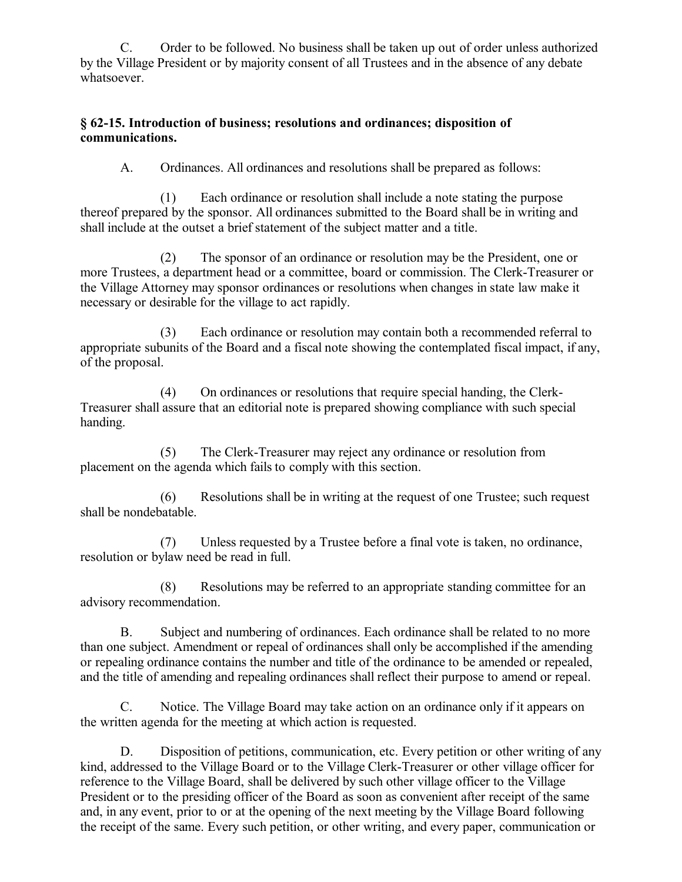C. Order to be followed. No business shall be taken up out of order unless authorized by the Village President or by majority consent of all Trustees and in the absence of any debate whatsoever.

#### **§ 62-15. Introduction of business; resolutions and ordinances; disposition of communications.**

A. Ordinances. All ordinances and resolutions shall be prepared as follows:

(1) Each ordinance or resolution shall include a note stating the purpose thereof prepared by the sponsor. All ordinances submitted to the Board shall be in writing and shall include at the outset a brief statement of the subject matter and a title.

(2) The sponsor of an ordinance or resolution may be the President, one or more Trustees, a department head or a committee, board or commission. The Clerk-Treasurer or the Village Attorney may sponsor ordinances or resolutions when changes in state law make it necessary or desirable for the village to act rapidly.

(3) Each ordinance or resolution may contain both a recommended referral to appropriate subunits of the Board and a fiscal note showing the contemplated fiscal impact, if any, of the proposal.

(4) On ordinances or resolutions that require special handing, the Clerk-Treasurer shall assure that an editorial note is prepared showing compliance with such special handing.

(5) The Clerk-Treasurer may reject any ordinance or resolution from placement on the agenda which fails to comply with this section.

(6) Resolutions shall be in writing at the request of one Trustee; such request shall be nondebatable.

(7) Unless requested by a Trustee before a final vote is taken, no ordinance, resolution or bylaw need be read in full.

(8) Resolutions may be referred to an appropriate standing committee for an advisory recommendation.

B. Subject and numbering of ordinances. Each ordinance shall be related to no more than one subject. Amendment or repeal of ordinances shall only be accomplished if the amending or repealing ordinance contains the number and title of the ordinance to be amended or repealed, and the title of amending and repealing ordinances shall reflect their purpose to amend or repeal.

C. Notice. The Village Board may take action on an ordinance only if it appears on the written agenda for the meeting at which action is requested.

D. Disposition of petitions, communication, etc. Every petition or other writing of any kind, addressed to the Village Board or to the Village Clerk-Treasurer or other village officer for reference to the Village Board, shall be delivered by such other village officer to the Village President or to the presiding officer of the Board as soon as convenient after receipt of the same and, in any event, prior to or at the opening of the next meeting by the Village Board following the receipt of the same. Every such petition, or other writing, and every paper, communication or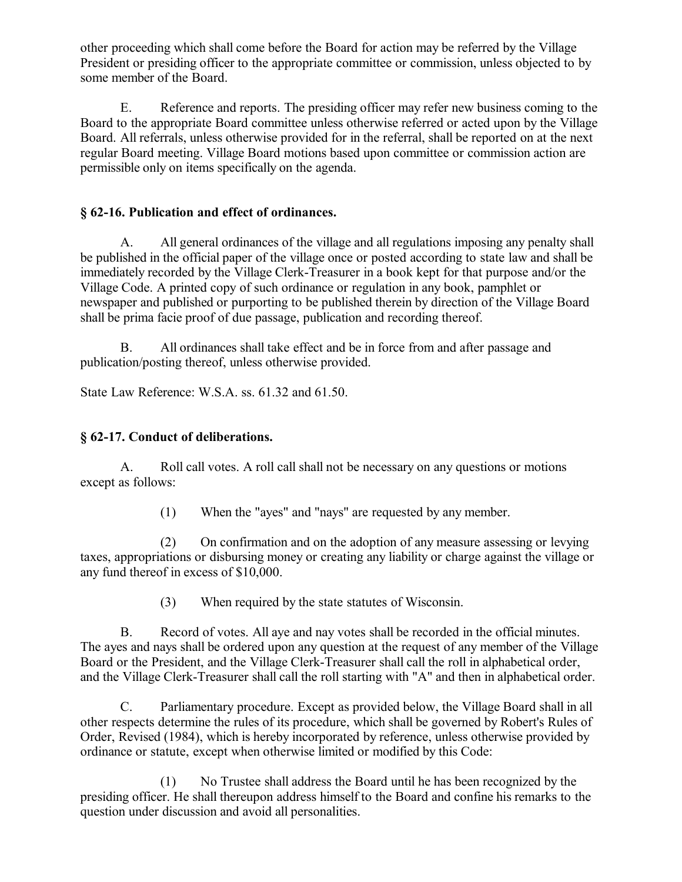other proceeding which shall come before the Board for action may be referred by the Village President or presiding officer to the appropriate committee or commission, unless objected to by some member of the Board.

E. Reference and reports. The presiding officer may refer new business coming to the Board to the appropriate Board committee unless otherwise referred or acted upon by the Village Board. All referrals, unless otherwise provided for in the referral, shall be reported on at the next regular Board meeting. Village Board motions based upon committee or commission action are permissible only on items specifically on the agenda.

### **§ 62-16. Publication and effect of ordinances.**

A. All general ordinances of the village and all regulations imposing any penalty shall be published in the official paper of the village once or posted according to state law and shall be immediately recorded by the Village Clerk-Treasurer in a book kept for that purpose and/or the Village Code. A printed copy of such ordinance or regulation in any book, pamphlet or newspaper and published or purporting to be published therein by direction of the Village Board shall be prima facie proof of due passage, publication and recording thereof.

B. All ordinances shall take effect and be in force from and after passage and publication/posting thereof, unless otherwise provided.

State Law Reference: W.S.A. ss. 61.32 and 61.50.

### **§ 62-17. Conduct of deliberations.**

A. Roll call votes. A roll call shall not be necessary on any questions or motions except as follows:

(1) When the "ayes" and "nays" are requested by any member.

(2) On confirmation and on the adoption of any measure assessing or levying taxes, appropriations or disbursing money or creating any liability or charge against the village or any fund thereof in excess of \$10,000.

(3) When required by the state statutes of Wisconsin.

B. Record of votes. All aye and nay votes shall be recorded in the official minutes. The ayes and nays shall be ordered upon any question at the request of any member of the Village Board or the President, and the Village Clerk-Treasurer shall call the roll in alphabetical order, and the Village Clerk-Treasurer shall call the roll starting with "A" and then in alphabetical order.

C. Parliamentary procedure. Except as provided below, the Village Board shall in all other respects determine the rules of its procedure, which shall be governed by Robert's Rules of Order, Revised (1984), which is hereby incorporated by reference, unless otherwise provided by ordinance or statute, except when otherwise limited or modified by this Code:

(1) No Trustee shall address the Board until he has been recognized by the presiding officer. He shall thereupon address himself to the Board and confine his remarks to the question under discussion and avoid all personalities.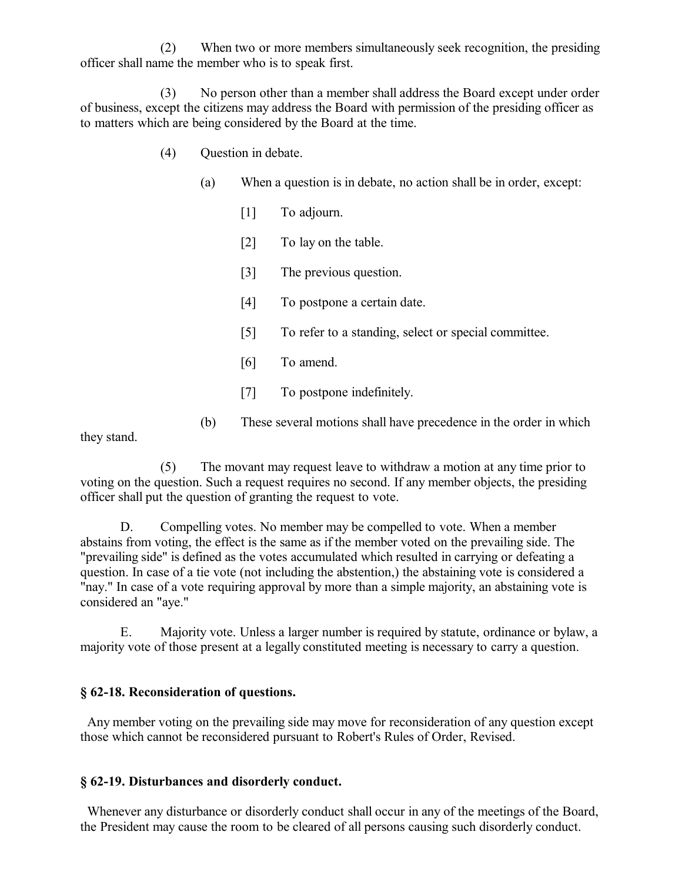(2) When two or more members simultaneously seek recognition, the presiding officer shall name the member who is to speak first.

(3) No person other than a member shall address the Board except under order of business, except the citizens may address the Board with permission of the presiding officer as to matters which are being considered by the Board at the time.

- (4) Question in debate.
	- (a) When a question is in debate, no action shall be in order, except:
		- [1] To adjourn.
		- [2] To lay on the table.
		- [3] The previous question.
		- [4] To postpone a certain date.
		- [5] To refer to a standing, select or special committee.
		- [6] To amend.
		- [7] To postpone indefinitely.
	- (b) These several motions shall have precedence in the order in which

they stand.

(5) The movant may request leave to withdraw a motion at any time prior to voting on the question. Such a request requires no second. If any member objects, the presiding officer shall put the question of granting the request to vote.

D. Compelling votes. No member may be compelled to vote. When a member abstains from voting, the effect is the same as if the member voted on the prevailing side. The "prevailing side" is defined as the votes accumulated which resulted in carrying or defeating a question. In case of a tie vote (not including the abstention,) the abstaining vote is considered a "nay." In case of a vote requiring approval by more than a simple majority, an abstaining vote is considered an "aye."

E. Majority vote. Unless a larger number is required by statute, ordinance or bylaw, a majority vote of those present at a legally constituted meeting is necessary to carry a question.

#### **§ 62-18. Reconsideration of questions.**

 Any member voting on the prevailing side may move for reconsideration of any question except those which cannot be reconsidered pursuant to Robert's Rules of Order, Revised.

#### **§ 62-19. Disturbances and disorderly conduct.**

 Whenever any disturbance or disorderly conduct shall occur in any of the meetings of the Board, the President may cause the room to be cleared of all persons causing such disorderly conduct.